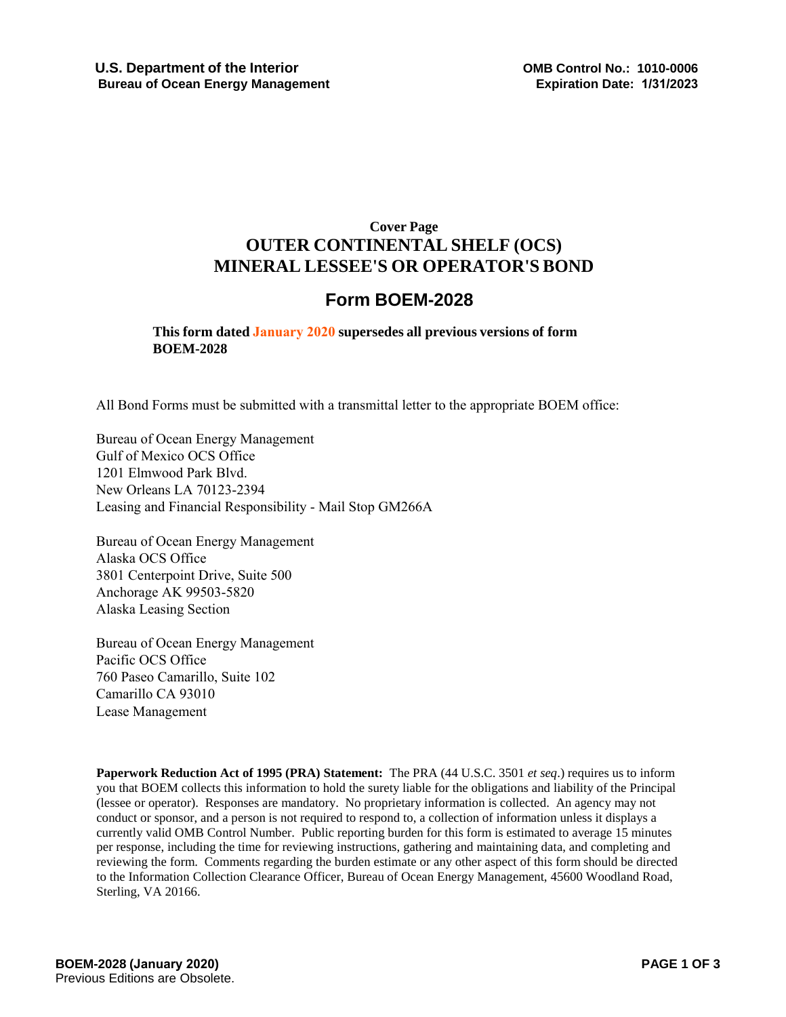## **Cover Page OUTER CONTINENTAL SHELF (OCS) MINERAL LESSEE'S OR OPERATOR'S BOND**

# **Form BOEM-2028**

## **This form dated January 2020 supersedes all previous versions of form BOEM-2028**

All Bond Forms must be submitted with a transmittal letter to the appropriate BOEM office:

Bureau of Ocean Energy Management Gulf of Mexico OCS Office 1201 Elmwood Park Blvd. New Orleans LA 70123-2394 Leasing and Financial Responsibility - Mail Stop GM266A

Bureau of Ocean Energy Management Alaska OCS Office 3801 Centerpoint Drive, Suite 500 Anchorage AK 99503-5820 Alaska Leasing Section

Bureau of Ocean Energy Management Pacific OCS Office 760 Paseo Camarillo, Suite 102 Camarillo CA 93010 Lease Management

**Paperwork Reduction Act of 1995 (PRA) Statement:** The PRA (44 U.S.C. 3501 *et seq*.) requires us to inform you that BOEM collects this information to hold the surety liable for the obligations and liability of the Principal (lessee or operator). Responses are mandatory. No proprietary information is collected. An agency may not conduct or sponsor, and a person is not required to respond to, a collection of information unless it displays a currently valid OMB Control Number. Public reporting burden for this form is estimated to average 15 minutes per response, including the time for reviewing instructions, gathering and maintaining data, and completing and reviewing the form. Comments regarding the burden estimate or any other aspect of this form should be directed to the Information Collection Clearance Officer, Bureau of Ocean Energy Management, 45600 Woodland Road, Sterling, VA 20166.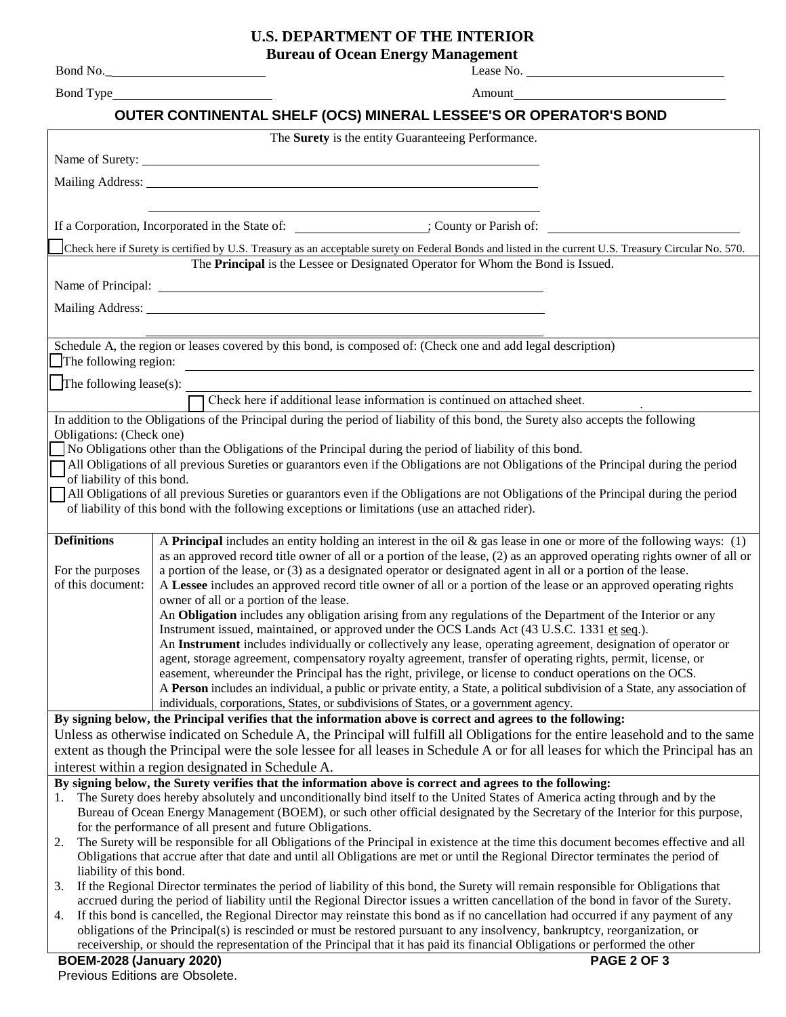### **U.S. DEPARTMENT OF THE INTERIOR**

**Bureau of Ocean Energy Management** Bond No.\_ Bond Type Lease No. Amount **OUTER CONTINENTAL SHELF (OCS) MINERAL LESSEE'S OR OPERATOR'S BOND** The **Surety** is the entity Guaranteeing Performance. Name of Surety: Mailing Address: If a Corporation, Incorporated in the State of: ; County or Parish of: Check here if Surety is certified by U.S. Treasury as an acceptable surety on Federal Bonds and listed in the current U.S. Treasury Circular No. 570. The **Principal** is the Lessee or Designated Operator for Whom the Bond is Issued. Name of Principal: Mailing Address: Schedule A, the region or leases covered by this bond, is composed of: (Check one and add legal description) The following region: The following lease $(s)$ : . In addition to the Obligations of the Principal during the period of liability of this bond, the Surety also accepts the following Obligations: (Check one) No Obligations other than the Obligations of the Principal during the period of liability of this bond. All Obligations of all previous Sureties or guarantors even if the Obligations are not Obligations of the Principal during the period of liability of this bond. All Obligations of all previous Sureties or guarantors even if the Obligations are not Obligations of the Principal during the period of liability of this bond with the following exceptions or limitations (use an attached rider). **Definitions** For the purposes of this document: A **Principal** includes an entity holding an interest in the oil & gas lease in one or more of the following ways: (1) as an approved record title owner of all or a portion of the lease, (2) as an approved operating rights owner of all or a portion of the lease, or (3) as a designated operator or designated agent in all or a portion of the lease. A **Lessee** includes an approved record title owner of all or a portion of the lease or an approved operating rights owner of all or a portion of the lease. An **Obligation** includes any obligation arising from any regulations of the Department of the Interior or any Instrument issued, maintained, or approved under the OCS Lands Act (43 U.S.C. 1331 et seq.). An **Instrument** includes individually or collectively any lease, operating agreement, designation of operator or agent, storage agreement, compensatory royalty agreement, transfer of operating rights, permit, license, or easement, whereunder the Principal has the right, privilege, or license to conduct operations on the OCS. A **Person** includes an individual, a public or private entity, a State, a political subdivision of a State, any association of individuals, corporations, States, or subdivisions of States, or a government agency. **By signing below, the Principal verifies that the information above is correct and agrees to the following:** Unless as otherwise indicated on Schedule A, the Principal will fulfill all Obligations for the entire leasehold and to the same extent as though the Principal were the sole lessee for all leases in Schedule A or for all leases for which the Principal has an interest within a region designated in Schedule A. **By signing below, the Surety verifies that the information above is correct and agrees to the following:** 1. The Surety does hereby absolutely and unconditionally bind itself to the United States of America acting through and by the Bureau of Ocean Energy Management (BOEM), or such other official designated by the Secretary of the Interior for this purpose, for the performance of all present and future Obligations. 2. The Surety will be responsible for all Obligations of the Principal in existence at the time this document becomes effective and all Obligations that accrue after that date and until all Obligations are met or until the Regional Director terminates the period of Check here if additional lease information is continued on attached sheet.

- liability of this bond. 3. If the Regional Director terminates the period of liability of this bond, the Surety will remain responsible for Obligations that accrued during the period of liability until the Regional Director issues a written cancellation of the bond in favor of the Surety.
- 4. If this bond is cancelled, the Regional Director may reinstate this bond as if no cancellation had occurred if any payment of any obligations of the Principal(s) is rescinded or must be restored pursuant to any insolvency, bankruptcy, reorganization, or receivership, or should the representation of the Principal that it has paid its financial Obligations or performed the other